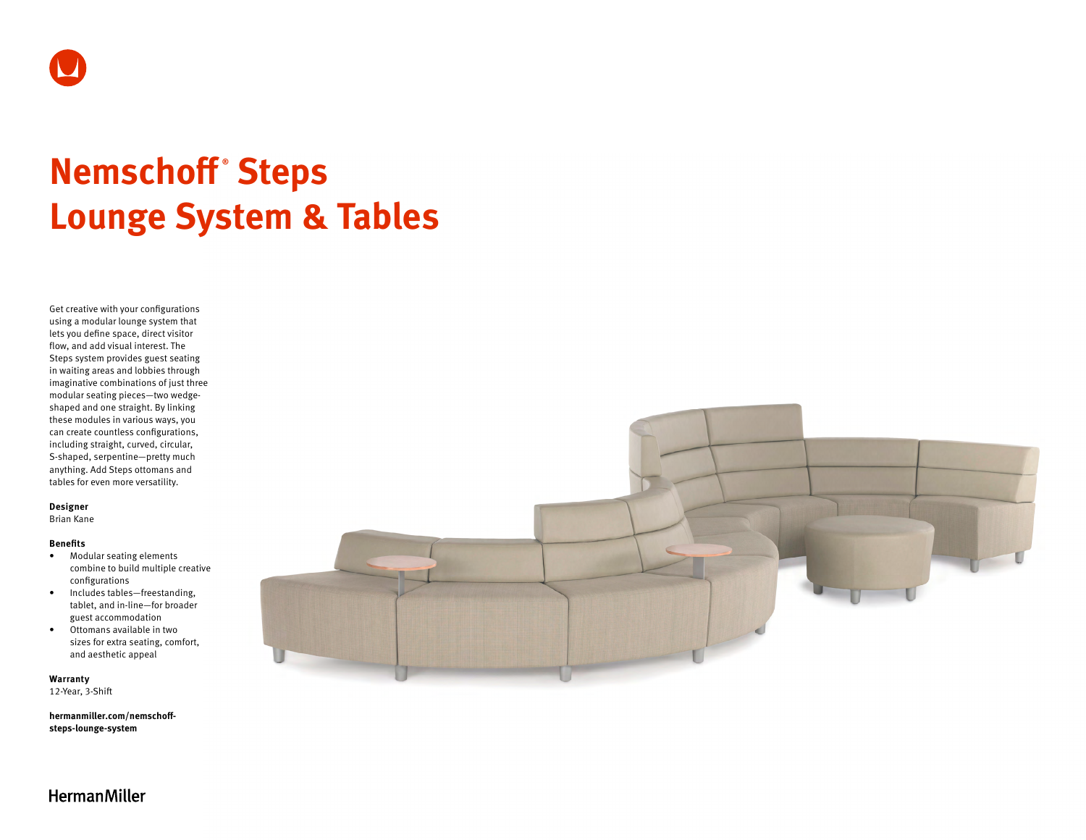

# **Nemschoff ® Steps Lounge System & Tables**

Get creative with your configurations using a modular lounge system that lets you define space, direct visitor flow, and add visual interest. The Steps system provides guest seating in waiting areas and lobbies through imaginative combinations of just three modular seating pieces—two wedgeshaped and one straight. By linking these modules in various ways, you can create countless configurations, including straight, curved, circular, S-shaped, serpentine—pretty much anything. Add Steps ottomans and tables for even more versatility.

#### **Designer**

Brian Kane

### **Benefits**

- Modular seating elements combine to build multiple creative configurations
- Includes tables—freestanding, tablet, and in-line—for broader guest accommodation
- Ottomans available in two sizes for extra seating, comfort, and aesthetic appeal

**Warranty**  12-Year, 3-Shift

**[hermanmiller.com/nemschoff](http://hermanmiller.com/nemschoff-steps-lounge-system)[steps-lounge-system](http://hermanmiller.com/nemschoff-steps-lounge-system)**



HermanMiller